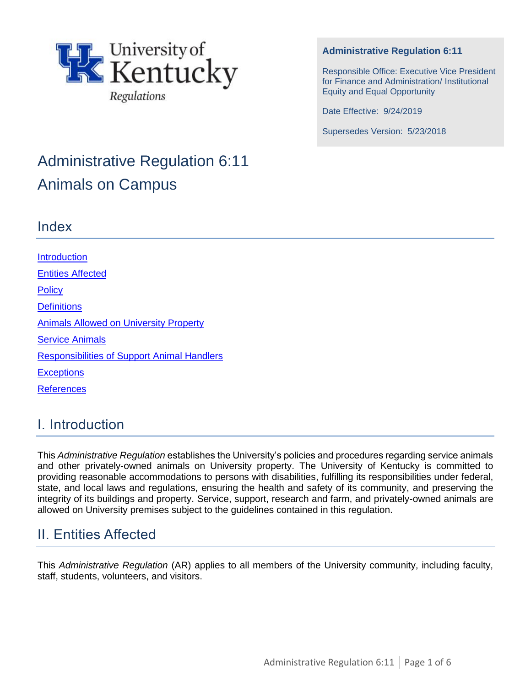

# Administrative Regulation 6:11 Animals on Campus

#### **Administrative Regulation 6:11**

Responsible Office: Executive Vice President for Finance and Administration/ Institutional Equity and Equal Opportunity

Date Effective: 9/24/2019

Supersedes Version: 5/23/2018

### Index

**Introduction** [Entities Affected](#page-0-0) **[Policy](#page-1-0) [Definitions](#page-1-1) [Animals Allowed on University Property](#page-2-0)** [Service Animals](#page-3-0)  [Responsibilities of Support Animal Handlers](#page-4-0) **[Exceptions](#page-4-1) [References](#page-5-0)** 

# I. Introduction

This *Administrative Regulation* establishes the University's policies and procedures regarding service animals and other privately-owned animals on University property. The University of Kentucky is committed to providing reasonable accommodations to persons with disabilities, fulfilling its responsibilities under federal, state, and local laws and regulations, ensuring the health and safety of its community, and preserving the integrity of its buildings and property. Service, support, research and farm, and privately-owned animals are allowed on University premises subject to the guidelines contained in this regulation.

# <span id="page-0-0"></span>II. Entities Affected

This *Administrative Regulation* (AR) applies to all members of the University community, including faculty, staff, students, volunteers, and visitors.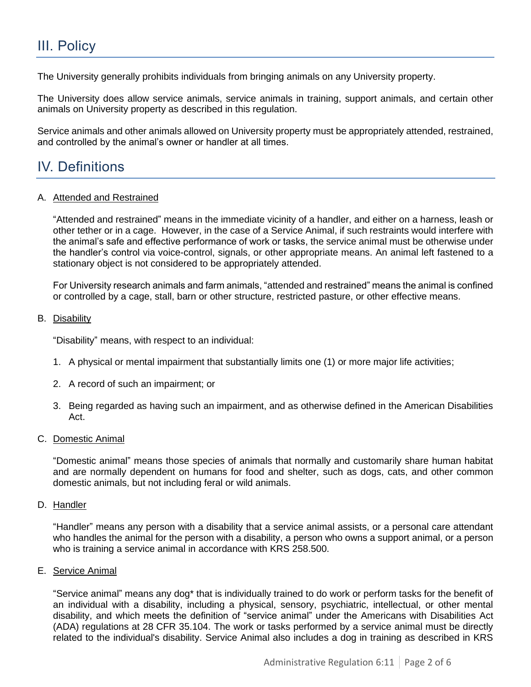# <span id="page-1-0"></span>III. Policy

The University generally prohibits individuals from bringing animals on any University property.

The University does allow service animals, service animals in training, support animals, and certain other animals on University property as described in this regulation.

Service animals and other animals allowed on University property must be appropriately attended, restrained, and controlled by the animal's owner or handler at all times.

# <span id="page-1-1"></span>IV. Definitions

### A. Attended and Restrained

"Attended and restrained" means in the immediate vicinity of a handler, and either on a harness, leash or other tether or in a cage. However, in the case of a Service Animal, if such restraints would interfere with the animal's safe and effective performance of work or tasks, the service animal must be otherwise under the handler's control via voice-control, signals, or other appropriate means. An animal left fastened to a stationary object is not considered to be appropriately attended.

For University research animals and farm animals, "attended and restrained" means the animal is confined or controlled by a cage, stall, barn or other structure, restricted pasture, or other effective means.

### B. Disability

"Disability" means, with respect to an individual:

- 1. A physical or mental impairment that substantially limits one (1) or more major life activities;
- 2. A record of such an impairment; or
- 3. Being regarded as having such an impairment, and as otherwise defined in the American Disabilities Act.

### C. Domestic Animal

"Domestic animal" means those species of animals that normally and customarily share human habitat and are normally dependent on humans for food and shelter, such as dogs, cats, and other common domestic animals, but not including feral or wild animals.

D. Handler

"Handler" means any person with a disability that a service animal assists, or a personal care attendant who handles the animal for the person with a disability, a person who owns a support animal, or a person who is training a service animal in accordance with KRS 258.500.

### E. Service Animal

"Service animal" means any dog\* that is individually trained to do work or perform tasks for the benefit of an individual with a disability, including a physical, sensory, psychiatric, intellectual, or other mental disability, and which meets the definition of "service animal" under the Americans with Disabilities Act (ADA) regulations at 28 CFR 35.104. The work or tasks performed by a service animal must be directly related to the individual's disability. Service Animal also includes a dog in training as described in KRS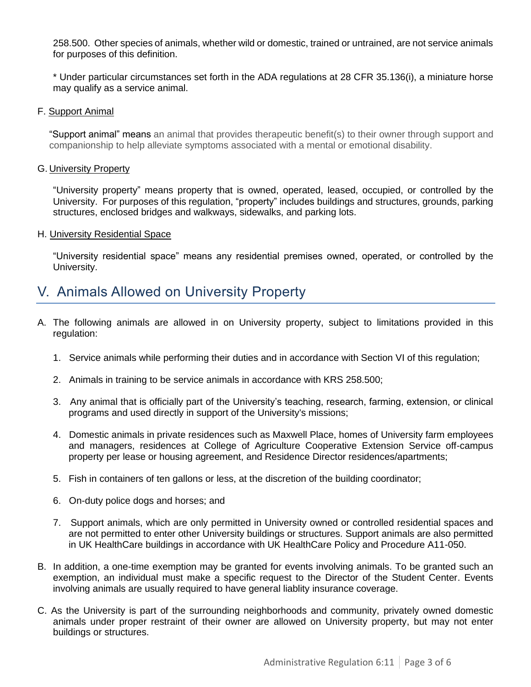258.500. Other species of animals, whether wild or domestic, trained or untrained, are not service animals for purposes of this definition.

\* Under particular circumstances set forth in the ADA regulations at 28 CFR 35.136(i), a miniature horse may qualify as a service animal.

F. Support Animal

"Support animal" means an animal that provides therapeutic benefit(s) to their owner through support and companionship to help alleviate symptoms associated with a mental or emotional disability.

#### G. University Property

"University property" means property that is owned, operated, leased, occupied, or controlled by the University. For purposes of this regulation, "property" includes buildings and structures, grounds, parking structures, enclosed bridges and walkways, sidewalks, and parking lots.

#### H. University Residential Space

"University residential space" means any residential premises owned, operated, or controlled by the University.

### <span id="page-2-0"></span>V. Animals Allowed on University Property

- A. The following animals are allowed in on University property, subject to limitations provided in this regulation:
	- 1. Service animals while performing their duties and in accordance with Section VI of this regulation;
	- 2. Animals in training to be service animals in accordance with KRS 258.500;
	- 3. Any animal that is officially part of the University's teaching, research, farming, extension, or clinical programs and used directly in support of the University's missions;
	- 4. Domestic animals in private residences such as Maxwell Place, homes of University farm employees and managers, residences at College of Agriculture Cooperative Extension Service off-campus property per lease or housing agreement, and Residence Director residences/apartments;
	- 5. Fish in containers of ten gallons or less, at the discretion of the building coordinator;
	- 6. On-duty police dogs and horses; and
	- 7. Support animals, which are only permitted in University owned or controlled residential spaces and are not permitted to enter other University buildings or structures. Support animals are also permitted in UK HealthCare buildings in accordance with UK HealthCare Policy and Procedure A11-050.
- B. In addition, a one-time exemption may be granted for events involving animals. To be granted such an exemption, an individual must make a specific request to the Director of the Student Center. Events involving animals are usually required to have general liablity insurance coverage.
- C. As the University is part of the surrounding neighborhoods and community, privately owned domestic animals under proper restraint of their owner are allowed on University property, but may not enter buildings or structures.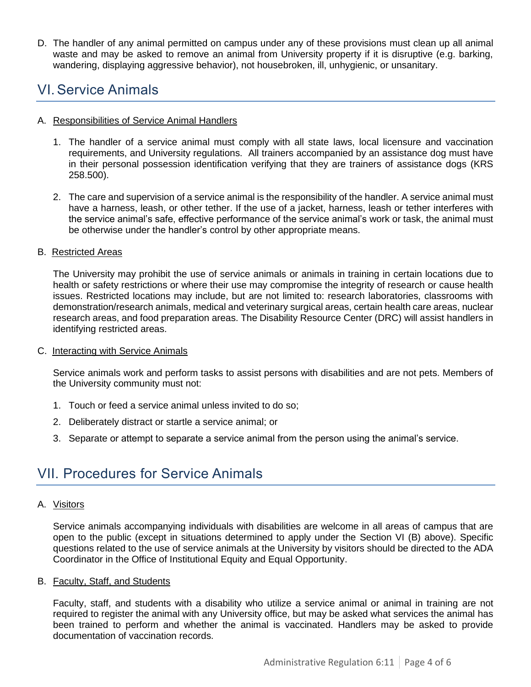D. The handler of any animal permitted on campus under any of these provisions must clean up all animal waste and may be asked to remove an animal from University property if it is disruptive (e.g. barking, wandering, displaying aggressive behavior), not housebroken, ill, unhygienic, or unsanitary.

### <span id="page-3-0"></span>VI.Service Animals

### A. Responsibilities of Service Animal Handlers

- 1. The handler of a service animal must comply with all state laws, local licensure and vaccination requirements, and University regulations. All trainers accompanied by an assistance dog must have in their personal possession identification verifying that they are trainers of assistance dogs (KRS 258.500).
- 2. The care and supervision of a service animal is the responsibility of the handler. A service animal must have a harness, leash, or other tether. If the use of a jacket, harness, leash or tether interferes with the service animal's safe, effective performance of the service animal's work or task, the animal must be otherwise under the handler's control by other appropriate means.

### B. Restricted Areas

The University may prohibit the use of service animals or animals in training in certain locations due to health or safety restrictions or where their use may compromise the integrity of research or cause health issues. Restricted locations may include, but are not limited to: research laboratories, classrooms with demonstration/research animals, medical and veterinary surgical areas, certain health care areas, nuclear research areas, and food preparation areas. The Disability Resource Center (DRC) will assist handlers in identifying restricted areas.

### C. Interacting with Service Animals

Service animals work and perform tasks to assist persons with disabilities and are not pets. Members of the University community must not:

- 1. Touch or feed a service animal unless invited to do so;
- 2. Deliberately distract or startle a service animal; or
- 3. Separate or attempt to separate a service animal from the person using the animal's service.

# VII. Procedures for Service Animals

### A. Visitors

Service animals accompanying individuals with disabilities are welcome in all areas of campus that are open to the public (except in situations determined to apply under the Section VI (B) above). Specific questions related to the use of service animals at the University by visitors should be directed to the ADA Coordinator in the Office of Institutional Equity and Equal Opportunity.

### B. Faculty, Staff, and Students

Faculty, staff, and students with a disability who utilize a service animal or animal in training are not required to register the animal with any University office, but may be asked what services the animal has been trained to perform and whether the animal is vaccinated. Handlers may be asked to provide documentation of vaccination records.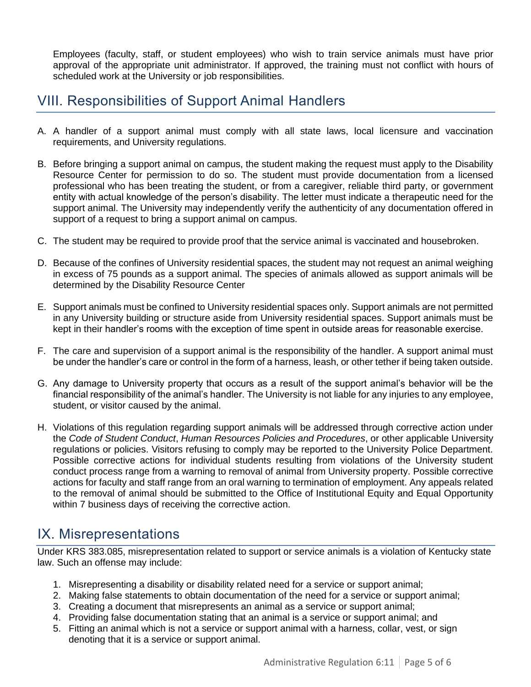Employees (faculty, staff, or student employees) who wish to train service animals must have prior approval of the appropriate unit administrator. If approved, the training must not conflict with hours of scheduled work at the University or job responsibilities.

# <span id="page-4-0"></span>VIII. Responsibilities of Support Animal Handlers

- A. A handler of a support animal must comply with all state laws, local licensure and vaccination requirements, and University regulations.
- B. Before bringing a support animal on campus, the student making the request must apply to the Disability Resource Center for permission to do so. The student must provide documentation from a licensed professional who has been treating the student, or from a caregiver, reliable third party, or government entity with actual knowledge of the person's disability. The letter must indicate a therapeutic need for the support animal. The University may independently verify the authenticity of any documentation offered in support of a request to bring a support animal on campus.
- C. The student may be required to provide proof that the service animal is vaccinated and housebroken.
- D. Because of the confines of University residential spaces, the student may not request an animal weighing in excess of 75 pounds as a support animal. The species of animals allowed as support animals will be determined by the Disability Resource Center
- E. Support animals must be confined to University residential spaces only. Support animals are not permitted in any University building or structure aside from University residential spaces. Support animals must be kept in their handler's rooms with the exception of time spent in outside areas for reasonable exercise.
- F. The care and supervision of a support animal is the responsibility of the handler. A support animal must be under the handler's care or control in the form of a harness, leash, or other tether if being taken outside.
- G. Any damage to University property that occurs as a result of the support animal's behavior will be the financial responsibility of the animal's handler. The University is not liable for any injuries to any employee, student, or visitor caused by the animal.
- H. Violations of this regulation regarding support animals will be addressed through corrective action under the *Code of Student Conduct*, *Human Resources Policies and Procedures*, or other applicable University regulations or policies. Visitors refusing to comply may be reported to the University Police Department. Possible corrective actions for individual students resulting from violations of the University student conduct process range from a warning to removal of animal from University property. Possible corrective actions for faculty and staff range from an oral warning to termination of employment. Any appeals related to the removal of animal should be submitted to the Office of Institutional Equity and Equal Opportunity within 7 business days of receiving the corrective action.

# <span id="page-4-1"></span>IX. Misrepresentations

Under KRS 383.085, misrepresentation related to support or service animals is a violation of Kentucky state law. Such an offense may include:

- 1. Misrepresenting a disability or disability related need for a service or support animal;
- 2. Making false statements to obtain documentation of the need for a service or support animal;
- 3. Creating a document that misrepresents an animal as a service or support animal;
- 4. Providing false documentation stating that an animal is a service or support animal; and
- 5. Fitting an animal which is not a service or support animal with a harness, collar, vest, or sign denoting that it is a service or support animal.